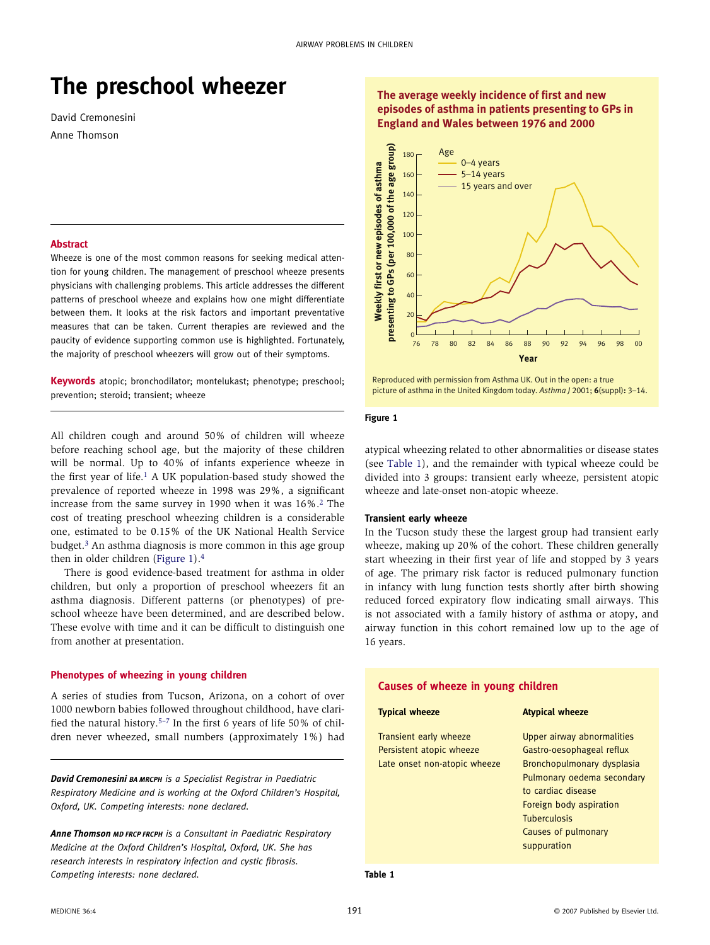# **The preschool wheezer**

David Cremonesini Anne Thomson

#### **Abstract**

Wheeze is one of the most common reasons for seeking medical attention for young children. The management of preschool wheeze presents physicians with challenging problems. This article addresses the different patterns of preschool wheeze and explains how one might differentiate between them. It looks at the risk factors and important preventative measures that can be taken. Current therapies are reviewed and the paucity of evidence supporting common use is highlighted. Fortunately, the majority of preschool wheezers will grow out of their symptoms.

**Keywords** atopic; bronchodilator; montelukast; phenotype; preschool; prevention; steroid; transient; wheeze

All children cough and around 50% of children will wheeze before reaching school age, but the majority of these children will be normal. Up to 40% of infants experience wheeze in the first year of life.<sup>1</sup> A UK population-based study showed the prevalence of reported wheeze in 1998 was 29%, a significant increase from the same survey in 1990 when it was 16%[.2](#page-4-1) The cost of treating preschool wheezing children is a considerable one, estimated to be 0.15% of the UK National Health Service budget[.3](#page-4-2) An asthma diagnosis is more common in this age group then in older children [\(Figure 1\)](#page-1-0)[.4](#page-4-3)

There is good evidence-based treatment for asthma in older children, but only a proportion of preschool wheezers fit an asthma diagnosis. Different patterns (or phenotypes) of preschool wheeze have been determined, and are described below. These evolve with time and it can be difficult to distinguish one from another at presentation.

## **Phenotypes of wheezing in young children**

A series of studies from Tucson, Arizona, on a cohort of over 1000 newborn babies followed throughout childhood, have clarified the natural history.[5–7](#page-4-4) In the first 6 years of life 50% of children never wheezed, small numbers (approximately 1%) had

*David Cremonesini BA MRCPH is a Specialist Registrar in Paediatric Respiratory Medicine and is working at the Oxford Children's Hospital, Oxford, UK. Competing interests: none declared.*

*Anne Thomson MD FRCP FRCPH is a Consultant in Paediatric Respiratory Medicine at the Oxford Children's Hospital, Oxford, UK. She has research interests in respiratory infection and cystic fibrosis. Competing interests: none declared.*

## **The average weekly incidence of first and new episodes of asthma in patients presenting to GPs in England and Wales between 1976 and 2000**



#### Reproduced with permission from Asthma UK. Out in the open: a true picture of asthma in the United Kingdom today. *Asthma J* 2001; **6**(suppl)**:** 3–14.

#### <span id="page-0-1"></span>**Figure 1**

atypical wheezing related to other abnormalities or disease states (see [Table 1\)](#page-0-0), and the remainder with typical wheeze could be divided into 3 groups: transient early wheeze, persistent atopic wheeze and late-onset non-atopic wheeze.

#### **Transient early wheeze**

In the Tucson study these the largest group had transient early wheeze, making up 20% of the cohort. These children generally start wheezing in their first year of life and stopped by 3 years of age. The primary risk factor is reduced pulmonary function in infancy with lung function tests shortly after birth showing reduced forced expiratory flow indicating small airways. This is not associated with a family history of asthma or atopy, and airway function in this cohort remained low up to the age of 16 years.

<span id="page-0-0"></span>

| Causes of wheeze in young children                                                 |                                                                                                                                                                                                                                   |
|------------------------------------------------------------------------------------|-----------------------------------------------------------------------------------------------------------------------------------------------------------------------------------------------------------------------------------|
| <b>Typical wheeze</b>                                                              | <b>Atypical wheeze</b>                                                                                                                                                                                                            |
| Transient early wheeze<br>Persistent atopic wheeze<br>Late onset non-atopic wheeze | Upper airway abnormalities<br>Gastro-oesophageal reflux<br>Bronchopulmonary dysplasia<br>Pulmonary oedema secondary<br>to cardiac disease<br>Foreign body aspiration<br><b>Tuberculosis</b><br>Causes of pulmonary<br>suppuration |

**Table 1**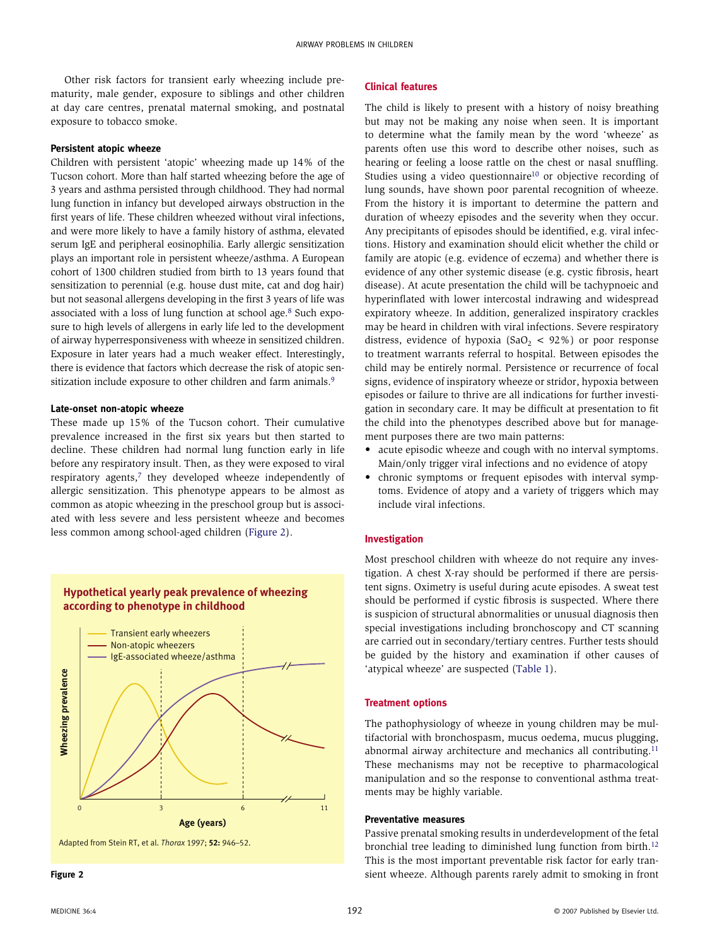Other risk factors for transient early wheezing include prematurity, male gender, exposure to siblings and other children at day care centres, prenatal maternal smoking, and postnatal exposure to tobacco smoke.

#### **Persistent atopic wheeze**

Children with persistent 'atopic' wheezing made up 14% of the Tucson cohort. More than half started wheezing before the age of 3 years and asthma persisted through childhood. They had normal lung function in infancy but developed airways obstruction in the first years of life. These children wheezed without viral infections, and were more likely to have a family history of asthma, elevated serum IgE and peripheral eosinophilia. Early allergic sensitization plays an important role in persistent wheeze/asthma. A European cohort of 1300 children studied from birth to 13 years found that sensitization to perennial (e.g. house dust mite, cat and dog hair) but not seasonal allergens developing in the first 3 years of life was associated with a loss of lung function at school age.[8](#page-4-5) Such exposure to high levels of allergens in early life led to the development of airway hyperresponsiveness with wheeze in sensitized children. Exposure in later years had a much weaker effect. Interestingly, there is evidence that factors which decrease the risk of atopic sen-sitization include exposure to other children and farm animals.<sup>[9](#page-4-6)</sup>

#### **Late-onset non-atopic wheeze**

These made up 15% of the Tucson cohort. Their cumulative prevalence increased in the first six years but then started to decline. These children had normal lung function early in life before any respiratory insult. Then, as they were exposed to viral respiratory agents,<sup>7</sup> they developed wheeze independently of allergic sensitization. This phenotype appears to be almost as common as atopic wheezing in the preschool group but is associated with less severe and less persistent wheeze and becomes less common among school-aged children ([Figure 2\)](#page-0-1).



<span id="page-1-0"></span>

### **Clinical features**

The child is likely to present with a history of noisy breathing but may not be making any noise when seen. It is important to determine what the family mean by the word 'wheeze' as parents often use this word to describe other noises, such as hearing or feeling a loose rattle on the chest or nasal snuffling. Studies using a video questionnaire<sup>10</sup> or objective recording of lung sounds, have shown poor parental recognition of wheeze. From the history it is important to determine the pattern and duration of wheezy episodes and the severity when they occur. Any precipitants of episodes should be identified, e.g. viral infections. History and examination should elicit whether the child or family are atopic (e.g. evidence of eczema) and whether there is evidence of any other systemic disease (e.g. cystic fibrosis, heart disease). At acute presentation the child will be tachypnoeic and hyperinflated with lower intercostal indrawing and widespread expiratory wheeze. In addition, generalized inspiratory crackles may be heard in children with viral infections. Severe respiratory distress, evidence of hypoxia (SaO<sub>2</sub> < 92%) or poor response to treatment warrants referral to hospital. Between episodes the child may be entirely normal. Persistence or recurrence of focal signs, evidence of inspiratory wheeze or stridor, hypoxia between episodes or failure to thrive are all indications for further investigation in secondary care. It may be difficult at presentation to fit the child into the phenotypes described above but for management purposes there are two main patterns:

- acute episodic wheeze and cough with no interval symptoms. Main/only trigger viral infections and no evidence of atopy
- chronic symptoms or frequent episodes with interval symptoms. Evidence of atopy and a variety of triggers which may include viral infections.

#### **Investigation**

Most preschool children with wheeze do not require any investigation. A chest X-ray should be performed if there are persistent signs. Oximetry is useful during acute episodes. A sweat test should be performed if cystic fibrosis is suspected. Where there is suspicion of structural abnormalities or unusual diagnosis then special investigations including bronchoscopy and CT scanning are carried out in secondary/tertiary centres. Further tests should be guided by the history and examination if other causes of 'atypical wheeze' are suspected [\(Table 1](#page-0-0)).

## **Treatment options**

The pathophysiology of wheeze in young children may be multifactorial with bronchospasm, mucus oedema, mucus plugging, abnormal airway architecture and mechanics all contributing.<sup>11</sup> These mechanisms may not be receptive to pharmacological manipulation and so the response to conventional asthma treatments may be highly variable.

#### **Preventative measures**

Passive prenatal smoking results in underdevelopment of the fetal bronchial tree leading to diminished lung function from birth[.12](#page-4-10) This is the most important preventable risk factor for early transient wheeze. Although parents rarely admit to smoking in front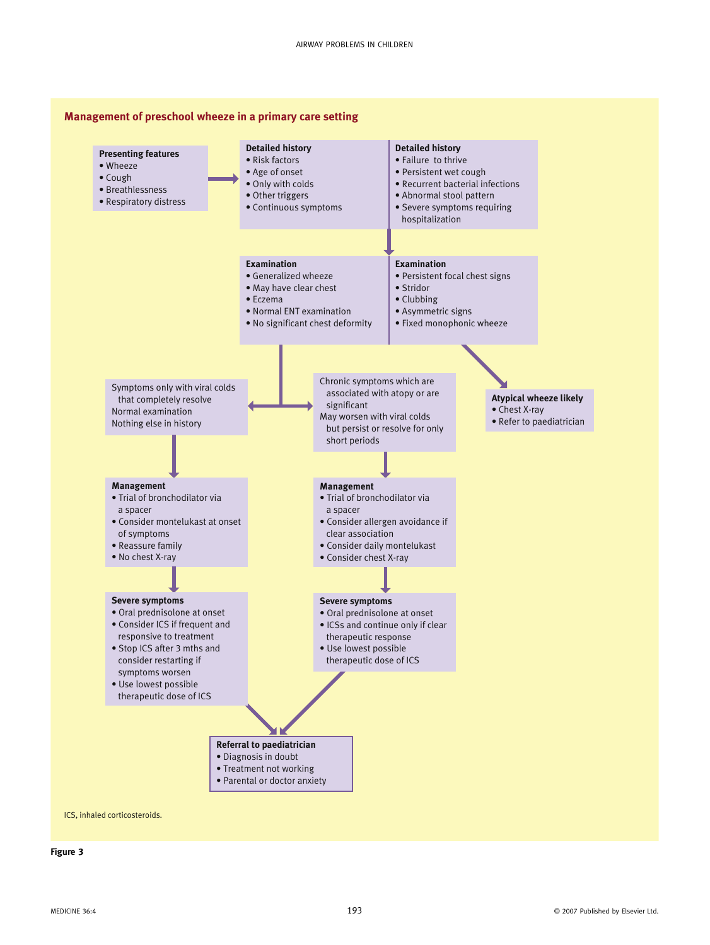

<span id="page-2-0"></span>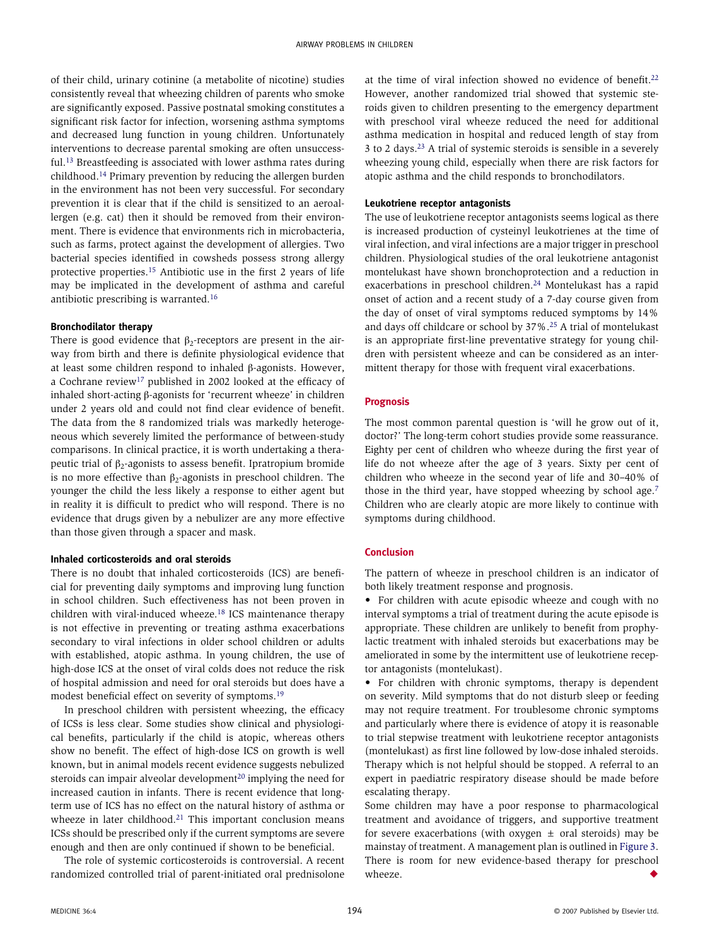of their child, urinary cotinine (a metabolite of nicotine) studies consistently reveal that wheezing children of parents who smoke are significantly exposed. Passive postnatal smoking constitutes a significant risk factor for infection, worsening asthma symptoms and decreased lung function in young children. Unfortunately interventions to decrease parental smoking are often unsuccessful[.13](#page-4-11) Breastfeeding is associated with lower asthma rates during childhood[.14](#page-4-12) Primary prevention by reducing the allergen burden in the environment has not been very successful. For secondary prevention it is clear that if the child is sensitized to an aeroallergen (e.g. cat) then it should be removed from their environment. There is evidence that environments rich in microbacteria, such as farms, protect against the development of allergies. Two bacterial species identified in cowsheds possess strong allergy protective properties.[15](#page-4-13) Antibiotic use in the first 2 years of life may be implicated in the development of asthma and careful antibiotic prescribing is warranted[.16](#page-4-14)

#### **Bronchodilator therapy**

There is good evidence that  $\beta_2$ -receptors are present in the airway from birth and there is definite physiological evidence that at least some children respond to inhaled β-agonists. However, a Cochrane review<sup>[17](#page-4-15)</sup> published in 2002 looked at the efficacy of inhaled short-acting β-agonists for 'recurrent wheeze' in children under 2 years old and could not find clear evidence of benefit. The data from the 8 randomized trials was markedly heterogeneous which severely limited the performance of between-study comparisons. In clinical practice, it is worth undertaking a therapeutic trial of  $β_2$ -agonists to assess benefit. Ipratropium bromide is no more effective than  $β_2$ -agonists in preschool children. The younger the child the less likely a response to either agent but in reality it is difficult to predict who will respond. There is no evidence that drugs given by a nebulizer are any more effective than those given through a spacer and mask.

## **Inhaled corticosteroids and oral steroids**

There is no doubt that inhaled corticosteroids (ICS) are beneficial for preventing daily symptoms and improving lung function in school children. Such effectiveness has not been proven in children with viral-induced wheeze[.18](#page-4-16) ICS maintenance therapy is not effective in preventing or treating asthma exacerbations secondary to viral infections in older school children or adults with established, atopic asthma. In young children, the use of high-dose ICS at the onset of viral colds does not reduce the risk of hospital admission and need for oral steroids but does have a modest beneficial effect on severity of symptoms.[19](#page-4-17)

In preschool children with persistent wheezing, the efficacy of ICSs is less clear. Some studies show clinical and physiological benefits, particularly if the child is atopic, whereas others show no benefit. The effect of high-dose ICS on growth is well known, but in animal models recent evidence suggests nebulized steroids can impair alveolar development<sup>20</sup> implying the need for increased caution in infants. There is recent evidence that longterm use of ICS has no effect on the natural history of asthma or wheeze in later childhood.<sup>[21](#page-4-19)</sup> This important conclusion means ICSs should be prescribed only if the current symptoms are severe enough and then are only continued if shown to be beneficial.

The role of systemic corticosteroids is controversial. A recent randomized controlled trial of parent-initiated oral prednisolone at the time of viral infection showed no evidence of benefit[.22](#page-4-20) However, another randomized trial showed that systemic steroids given to children presenting to the emergency department with preschool viral wheeze reduced the need for additional asthma medication in hospital and reduced length of stay from 3 to 2 days[.23](#page-4-21) A trial of systemic steroids is sensible in a severely wheezing young child, especially when there are risk factors for atopic asthma and the child responds to bronchodilators.

## **Leukotriene receptor antagonists**

The use of leukotriene receptor antagonists seems logical as there is increased production of cysteinyl leukotrienes at the time of viral infection, and viral infections are a major trigger in preschool children. Physiological studies of the oral leukotriene antagonist montelukast have shown bronchoprotection and a reduction in exacerbations in preschool children.[24](#page-4-22) Montelukast has a rapid onset of action and a recent study of a 7-day course given from the day of onset of viral symptoms reduced symptoms by 14% and days off childcare or school by 37%[.25](#page-4-23) A trial of montelukast is an appropriate first-line preventative strategy for young children with persistent wheeze and can be considered as an intermittent therapy for those with frequent viral exacerbations.

## **Prognosis**

The most common parental question is 'will he grow out of it, doctor?' The long-term cohort studies provide some reassurance. Eighty per cent of children who wheeze during the first year of life do not wheeze after the age of 3 years. Sixty per cent of children who wheeze in the second year of life and 30–40% of those in the third year, have stopped wheezing by school age.[7](#page-4-7) Children who are clearly atopic are more likely to continue with symptoms during childhood.

## **Conclusion**

The pattern of wheeze in preschool children is an indicator of both likely treatment response and prognosis.

• For children with acute episodic wheeze and cough with no interval symptoms a trial of treatment during the acute episode is appropriate. These children are unlikely to benefit from prophylactic treatment with inhaled steroids but exacerbations may be ameliorated in some by the intermittent use of leukotriene receptor antagonists (montelukast).

• For children with chronic symptoms, therapy is dependent on severity. Mild symptoms that do not disturb sleep or feeding may not require treatment. For troublesome chronic symptoms and particularly where there is evidence of atopy it is reasonable to trial stepwise treatment with leukotriene receptor antagonists (montelukast) as first line followed by low-dose inhaled steroids. Therapy which is not helpful should be stopped. A referral to an expert in paediatric respiratory disease should be made before escalating therapy.

Some children may have a poor response to pharmacological treatment and avoidance of triggers, and supportive treatment for severe exacerbations (with oxygen  $\pm$  oral steroids) may be mainstay of treatment. A management plan is outlined in [Figure 3](#page-2-0). There is room for new evidence-based therapy for preschool wheeze.  $\blacklozenge$